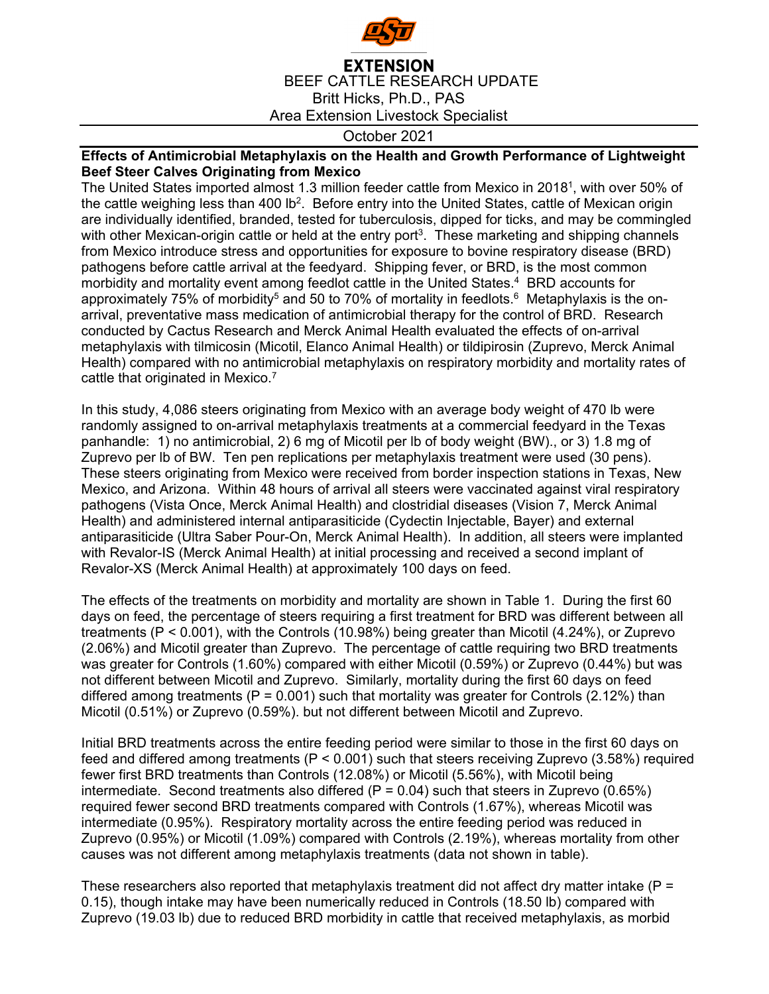

## **EXTENSION** BEEF CATTLE RESEARCH UPDATE Britt Hicks, Ph.D., PAS Area Extension Livestock Specialist

## October 2021

## **Effects of Antimicrobial Metaphylaxis on the Health and Growth Performance of Lightweight Beef Steer Calves Originating from Mexico**

The United States imported almost 1.3 million feeder cattle from Mexico in 20181, with over 50% of the cattle weighing less than 400 lb<sup>2</sup>. Before entry into the United States, cattle of Mexican origin are individually identified, branded, tested for tuberculosis, dipped for ticks, and may be commingled with other Mexican-origin cattle or held at the entry port<sup>3</sup>. These marketing and shipping channels from Mexico introduce stress and opportunities for exposure to bovine respiratory disease (BRD) pathogens before cattle arrival at the feedyard. Shipping fever, or BRD, is the most common morbidity and mortality event among feedlot cattle in the United States.<sup>4</sup> BRD accounts for approximately 75% of morbidity<sup>5</sup> and 50 to 70% of mortality in feedlots.<sup>6</sup> Metaphylaxis is the onarrival, preventative mass medication of antimicrobial therapy for the control of BRD. Research conducted by Cactus Research and Merck Animal Health evaluated the effects of on-arrival metaphylaxis with tilmicosin (Micotil, Elanco Animal Health) or tildipirosin (Zuprevo, Merck Animal Health) compared with no antimicrobial metaphylaxis on respiratory morbidity and mortality rates of cattle that originated in Mexico.<sup>7</sup>

In this study, 4,086 steers originating from Mexico with an average body weight of 470 lb were randomly assigned to on-arrival metaphylaxis treatments at a commercial feedyard in the Texas panhandle: 1) no antimicrobial, 2) 6 mg of Micotil per lb of body weight (BW)., or 3) 1.8 mg of Zuprevo per lb of BW. Ten pen replications per metaphylaxis treatment were used (30 pens). These steers originating from Mexico were received from border inspection stations in Texas, New Mexico, and Arizona. Within 48 hours of arrival all steers were vaccinated against viral respiratory pathogens (Vista Once, Merck Animal Health) and clostridial diseases (Vision 7, Merck Animal Health) and administered internal antiparasiticide (Cydectin Injectable, Bayer) and external antiparasiticide (Ultra Saber Pour-On, Merck Animal Health). In addition, all steers were implanted with Revalor-IS (Merck Animal Health) at initial processing and received a second implant of Revalor-XS (Merck Animal Health) at approximately 100 days on feed.

The effects of the treatments on morbidity and mortality are shown in Table 1. During the first 60 days on feed, the percentage of steers requiring a first treatment for BRD was different between all treatments (P < 0.001), with the Controls (10.98%) being greater than Micotil (4.24%), or Zuprevo (2.06%) and Micotil greater than Zuprevo. The percentage of cattle requiring two BRD treatments was greater for Controls (1.60%) compared with either Micotil (0.59%) or Zuprevo (0.44%) but was not different between Micotil and Zuprevo. Similarly, mortality during the first 60 days on feed differed among treatments ( $P = 0.001$ ) such that mortality was greater for Controls (2.12%) than Micotil (0.51%) or Zuprevo (0.59%). but not different between Micotil and Zuprevo.

Initial BRD treatments across the entire feeding period were similar to those in the first 60 days on feed and differed among treatments (P < 0.001) such that steers receiving Zuprevo (3.58%) required fewer first BRD treatments than Controls (12.08%) or Micotil (5.56%), with Micotil being intermediate. Second treatments also differed  $(P = 0.04)$  such that steers in Zuprevo (0.65%) required fewer second BRD treatments compared with Controls (1.67%), whereas Micotil was intermediate (0.95%). Respiratory mortality across the entire feeding period was reduced in Zuprevo (0.95%) or Micotil (1.09%) compared with Controls (2.19%), whereas mortality from other causes was not different among metaphylaxis treatments (data not shown in table).

These researchers also reported that metaphylaxis treatment did not affect dry matter intake ( $P =$ 0.15), though intake may have been numerically reduced in Controls (18.50 lb) compared with Zuprevo (19.03 lb) due to reduced BRD morbidity in cattle that received metaphylaxis, as morbid